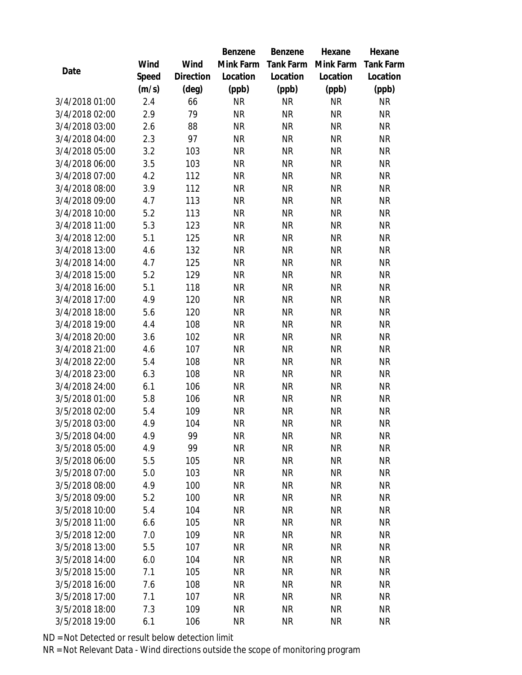|                |       |                | Benzene   | Benzene          | Hexane    | Hexane           |
|----------------|-------|----------------|-----------|------------------|-----------|------------------|
|                | Wind  | Wind           | Mink Farm | <b>Tank Farm</b> | Mink Farm | <b>Tank Farm</b> |
| Date           | Speed | Direction      | Location  | Location         | Location  | Location         |
|                | (m/s) | $(\text{deg})$ | (ppb)     | (ppb)            | (ppb)     | (ppb)            |
| 3/4/2018 01:00 | 2.4   | 66             | <b>NR</b> | <b>NR</b>        | <b>NR</b> | <b>NR</b>        |
| 3/4/2018 02:00 | 2.9   | 79             | <b>NR</b> | <b>NR</b>        | <b>NR</b> | <b>NR</b>        |
| 3/4/2018 03:00 | 2.6   | 88             | <b>NR</b> | <b>NR</b>        | <b>NR</b> | <b>NR</b>        |
| 3/4/2018 04:00 | 2.3   | 97             | <b>NR</b> | <b>NR</b>        | <b>NR</b> | <b>NR</b>        |
| 3/4/2018 05:00 | 3.2   | 103            | <b>NR</b> | <b>NR</b>        | <b>NR</b> | <b>NR</b>        |
| 3/4/2018 06:00 | 3.5   | 103            | <b>NR</b> | <b>NR</b>        | <b>NR</b> | <b>NR</b>        |
| 3/4/2018 07:00 | 4.2   | 112            | <b>NR</b> | <b>NR</b>        | <b>NR</b> | <b>NR</b>        |
| 3/4/2018 08:00 | 3.9   | 112            | <b>NR</b> | <b>NR</b>        | <b>NR</b> | <b>NR</b>        |
| 3/4/2018 09:00 | 4.7   | 113            | <b>NR</b> | <b>NR</b>        | <b>NR</b> | <b>NR</b>        |
| 3/4/2018 10:00 | 5.2   | 113            | <b>NR</b> | <b>NR</b>        | <b>NR</b> | <b>NR</b>        |
| 3/4/2018 11:00 | 5.3   | 123            | <b>NR</b> | <b>NR</b>        | <b>NR</b> | <b>NR</b>        |
| 3/4/2018 12:00 | 5.1   | 125            | <b>NR</b> | <b>NR</b>        | <b>NR</b> | <b>NR</b>        |
| 3/4/2018 13:00 | 4.6   | 132            | <b>NR</b> | <b>NR</b>        | <b>NR</b> | <b>NR</b>        |
| 3/4/2018 14:00 | 4.7   | 125            | <b>NR</b> | <b>NR</b>        | <b>NR</b> | <b>NR</b>        |
| 3/4/2018 15:00 | 5.2   | 129            | <b>NR</b> | <b>NR</b>        | <b>NR</b> | <b>NR</b>        |
| 3/4/2018 16:00 | 5.1   | 118            | <b>NR</b> | <b>NR</b>        | <b>NR</b> | <b>NR</b>        |
| 3/4/2018 17:00 | 4.9   | 120            | <b>NR</b> | <b>NR</b>        | <b>NR</b> | <b>NR</b>        |
| 3/4/2018 18:00 | 5.6   | 120            | <b>NR</b> | <b>NR</b>        | <b>NR</b> | <b>NR</b>        |
| 3/4/2018 19:00 | 4.4   | 108            | <b>NR</b> | <b>NR</b>        | <b>NR</b> | <b>NR</b>        |
| 3/4/2018 20:00 | 3.6   | 102            | <b>NR</b> | <b>NR</b>        | <b>NR</b> | <b>NR</b>        |
| 3/4/2018 21:00 | 4.6   | 107            | <b>NR</b> | <b>NR</b>        | <b>NR</b> | <b>NR</b>        |
| 3/4/2018 22:00 | 5.4   | 108            | <b>NR</b> | <b>NR</b>        | <b>NR</b> | <b>NR</b>        |
| 3/4/2018 23:00 | 6.3   | 108            | <b>NR</b> | <b>NR</b>        | <b>NR</b> | <b>NR</b>        |
| 3/4/2018 24:00 | 6.1   | 106            | <b>NR</b> | <b>NR</b>        | <b>NR</b> | <b>NR</b>        |
| 3/5/2018 01:00 | 5.8   | 106            | <b>NR</b> | <b>NR</b>        | <b>NR</b> | <b>NR</b>        |
| 3/5/2018 02:00 | 5.4   | 109            | <b>NR</b> | <b>NR</b>        | <b>NR</b> | <b>NR</b>        |
| 3/5/2018 03:00 | 4.9   | 104            | <b>NR</b> | <b>NR</b>        | <b>NR</b> | <b>NR</b>        |
| 3/5/2018 04:00 | 4.9   | 99             | <b>NR</b> | <b>NR</b>        | <b>NR</b> | <b>NR</b>        |
| 3/5/2018 05:00 | 4.9   | 99             | ΝR        | <b>NR</b>        | <b>NR</b> | <b>NR</b>        |
| 3/5/2018 06:00 | 5.5   | 105            | <b>NR</b> | <b>NR</b>        | <b>NR</b> | NR               |
| 3/5/2018 07:00 | 5.0   | 103            | <b>NR</b> | <b>NR</b>        | <b>NR</b> | <b>NR</b>        |
| 3/5/2018 08:00 | 4.9   | 100            | <b>NR</b> | <b>NR</b>        | <b>NR</b> | <b>NR</b>        |
| 3/5/2018 09:00 | 5.2   | 100            | <b>NR</b> | <b>NR</b>        | <b>NR</b> | <b>NR</b>        |
| 3/5/2018 10:00 | 5.4   | 104            | <b>NR</b> | <b>NR</b>        | <b>NR</b> | <b>NR</b>        |
| 3/5/2018 11:00 | 6.6   | 105            | <b>NR</b> | <b>NR</b>        | <b>NR</b> | NR               |
| 3/5/2018 12:00 | 7.0   | 109            | <b>NR</b> | <b>NR</b>        | <b>NR</b> | <b>NR</b>        |
| 3/5/2018 13:00 | 5.5   | 107            | <b>NR</b> | <b>NR</b>        | <b>NR</b> | <b>NR</b>        |
| 3/5/2018 14:00 | 6.0   | 104            | <b>NR</b> | <b>NR</b>        | <b>NR</b> | <b>NR</b>        |
| 3/5/2018 15:00 | 7.1   | 105            | <b>NR</b> | <b>NR</b>        | <b>NR</b> | <b>NR</b>        |
| 3/5/2018 16:00 | 7.6   | 108            | <b>NR</b> | <b>NR</b>        | <b>NR</b> | <b>NR</b>        |
| 3/5/2018 17:00 | 7.1   | 107            | <b>NR</b> | <b>NR</b>        | <b>NR</b> | <b>NR</b>        |
| 3/5/2018 18:00 | 7.3   | 109            | <b>NR</b> | <b>NR</b>        | <b>NR</b> | NR               |
| 3/5/2018 19:00 | 6.1   | 106            | <b>NR</b> | <b>NR</b>        | <b>NR</b> | <b>NR</b>        |

ND = Not Detected or result below detection limit

NR = Not Relevant Data - Wind directions outside the scope of monitoring program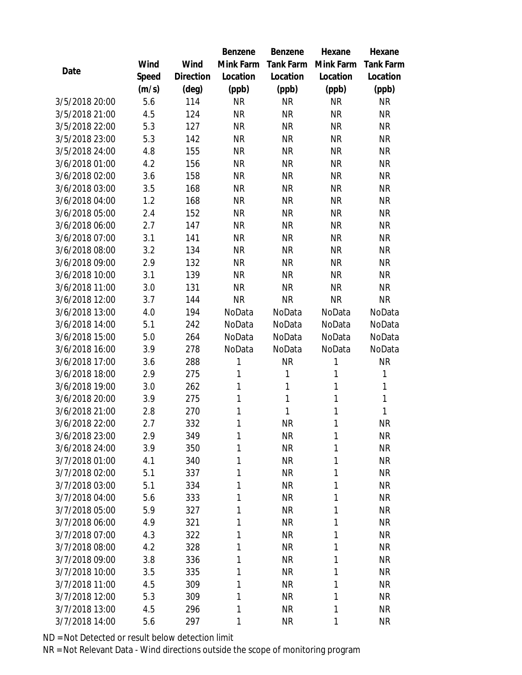|                |       |                | Benzene   | Benzene          | Hexane    | Hexane           |
|----------------|-------|----------------|-----------|------------------|-----------|------------------|
|                | Wind  | Wind           | Mink Farm | <b>Tank Farm</b> | Mink Farm | <b>Tank Farm</b> |
| Date           | Speed | Direction      | Location  | Location         | Location  | Location         |
|                | (m/s) | $(\text{deg})$ | (ppb)     | (ppb)            | (ppb)     | (ppb)            |
| 3/5/2018 20:00 | 5.6   | 114            | <b>NR</b> | <b>NR</b>        | <b>NR</b> | <b>NR</b>        |
| 3/5/2018 21:00 | 4.5   | 124            | <b>NR</b> | <b>NR</b>        | <b>NR</b> | <b>NR</b>        |
| 3/5/2018 22:00 | 5.3   | 127            | <b>NR</b> | <b>NR</b>        | <b>NR</b> | <b>NR</b>        |
| 3/5/2018 23:00 | 5.3   | 142            | <b>NR</b> | <b>NR</b>        | <b>NR</b> | <b>NR</b>        |
| 3/5/2018 24:00 | 4.8   | 155            | <b>NR</b> | <b>NR</b>        | <b>NR</b> | <b>NR</b>        |
| 3/6/2018 01:00 | 4.2   | 156            | <b>NR</b> | <b>NR</b>        | <b>NR</b> | <b>NR</b>        |
| 3/6/2018 02:00 | 3.6   | 158            | <b>NR</b> | <b>NR</b>        | <b>NR</b> | <b>NR</b>        |
| 3/6/2018 03:00 | 3.5   | 168            | <b>NR</b> | <b>NR</b>        | <b>NR</b> | <b>NR</b>        |
| 3/6/2018 04:00 | 1.2   | 168            | <b>NR</b> | <b>NR</b>        | <b>NR</b> | <b>NR</b>        |
| 3/6/2018 05:00 | 2.4   | 152            | <b>NR</b> | <b>NR</b>        | <b>NR</b> | <b>NR</b>        |
| 3/6/2018 06:00 | 2.7   | 147            | <b>NR</b> | <b>NR</b>        | <b>NR</b> | <b>NR</b>        |
| 3/6/2018 07:00 | 3.1   | 141            | <b>NR</b> | <b>NR</b>        | <b>NR</b> | <b>NR</b>        |
| 3/6/2018 08:00 | 3.2   | 134            | <b>NR</b> | <b>NR</b>        | <b>NR</b> | <b>NR</b>        |
| 3/6/2018 09:00 | 2.9   | 132            | <b>NR</b> | <b>NR</b>        | <b>NR</b> | <b>NR</b>        |
| 3/6/2018 10:00 | 3.1   | 139            | <b>NR</b> | <b>NR</b>        | <b>NR</b> | <b>NR</b>        |
| 3/6/2018 11:00 | 3.0   | 131            | <b>NR</b> | <b>NR</b>        | <b>NR</b> | <b>NR</b>        |
| 3/6/2018 12:00 | 3.7   | 144            | <b>NR</b> | <b>NR</b>        | <b>NR</b> | <b>NR</b>        |
| 3/6/2018 13:00 | 4.0   | 194            | NoData    | NoData           | NoData    | NoData           |
| 3/6/2018 14:00 | 5.1   | 242            | NoData    | NoData           | NoData    | NoData           |
| 3/6/2018 15:00 | 5.0   | 264            | NoData    | NoData           | NoData    | NoData           |
| 3/6/2018 16:00 | 3.9   | 278            | NoData    | NoData           | NoData    | NoData           |
| 3/6/2018 17:00 | 3.6   | 288            | 1         | <b>NR</b>        | 1         | <b>NR</b>        |
| 3/6/2018 18:00 | 2.9   | 275            | 1         | $\mathbf{1}$     | 1         | $\mathbf{1}$     |
| 3/6/2018 19:00 | 3.0   | 262            | 1         | $\mathbf{1}$     | 1         | $\mathbf{1}$     |
| 3/6/2018 20:00 | 3.9   | 275            | 1         | $\mathbf{1}$     | 1         | $\mathbf{1}$     |
| 3/6/2018 21:00 | 2.8   | 270            | 1         | $\mathbf{1}$     | 1         | 1                |
| 3/6/2018 22:00 | 2.7   | 332            | 1         | <b>NR</b>        | 1         | <b>NR</b>        |
| 3/6/2018 23:00 | 2.9   | 349            | 1         | <b>NR</b>        | 1         | <b>NR</b>        |
| 3/6/2018 24:00 | 3.9   | 350            | 1         | <b>NR</b>        | 1         | <b>NR</b>        |
| 3/7/2018 01:00 | 4.1   | 340            | 1         | <b>NR</b>        | 1         | NR               |
| 3/7/2018 02:00 | 5.1   | 337            | 1         | <b>NR</b>        | 1         | <b>NR</b>        |
| 3/7/2018 03:00 | 5.1   | 334            | 1         | <b>NR</b>        | 1         | <b>NR</b>        |
| 3/7/2018 04:00 | 5.6   | 333            | 1         | <b>NR</b>        | 1         | NR               |
| 3/7/2018 05:00 | 5.9   | 327            | 1         | <b>NR</b>        | 1         | <b>NR</b>        |
| 3/7/2018 06:00 | 4.9   | 321            | 1         | <b>NR</b>        | 1         | NR               |
| 3/7/2018 07:00 | 4.3   | 322            | 1         | <b>NR</b>        | 1         | <b>NR</b>        |
| 3/7/2018 08:00 | 4.2   | 328            | 1         | <b>NR</b>        | 1         | <b>NR</b>        |
| 3/7/2018 09:00 | 3.8   | 336            | 1         | <b>NR</b>        | 1         | <b>NR</b>        |
| 3/7/2018 10:00 | 3.5   | 335            | 1         | <b>NR</b>        | 1         | <b>NR</b>        |
| 3/7/2018 11:00 | 4.5   | 309            | 1         | <b>NR</b>        | 1         | NR               |
| 3/7/2018 12:00 | 5.3   | 309            | 1         | <b>NR</b>        | 1         | <b>NR</b>        |
| 3/7/2018 13:00 | 4.5   | 296            | 1         | <b>NR</b>        | 1         | NR               |
| 3/7/2018 14:00 | 5.6   | 297            | 1         | <b>NR</b>        | 1         | <b>NR</b>        |

ND = Not Detected or result below detection limit

NR = Not Relevant Data - Wind directions outside the scope of monitoring program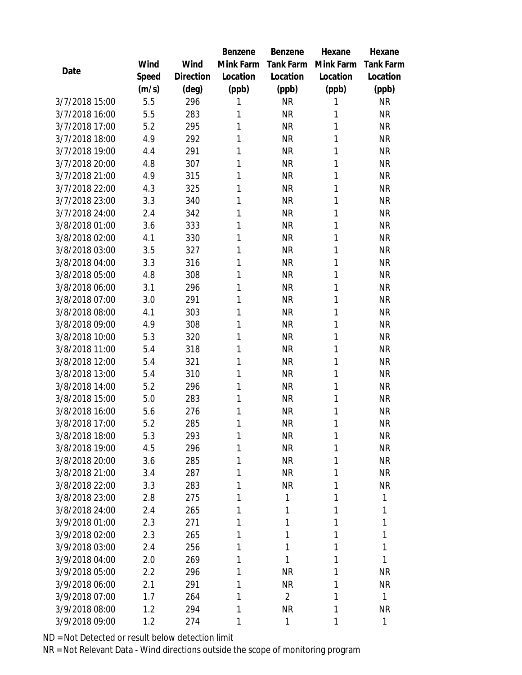|                |       |           | Benzene   | Benzene          | Hexane    | Hexane           |
|----------------|-------|-----------|-----------|------------------|-----------|------------------|
|                | Wind  | Wind      | Mink Farm | <b>Tank Farm</b> | Mink Farm | <b>Tank Farm</b> |
| Date           | Speed | Direction | Location  | Location         | Location  | Location         |
|                | (m/s) | (deg)     | (ppb)     | (ppb)            | (ppb)     | (ppb)            |
| 3/7/2018 15:00 | 5.5   | 296       | 1         | <b>NR</b>        | 1         | <b>NR</b>        |
| 3/7/2018 16:00 | 5.5   | 283       | 1         | <b>NR</b>        | 1         | <b>NR</b>        |
| 3/7/2018 17:00 | 5.2   | 295       | 1         | <b>NR</b>        | 1         | <b>NR</b>        |
| 3/7/2018 18:00 | 4.9   | 292       | 1         | <b>NR</b>        | 1         | <b>NR</b>        |
| 3/7/2018 19:00 | 4.4   | 291       | 1         | <b>NR</b>        | 1         | <b>NR</b>        |
| 3/7/2018 20:00 | 4.8   | 307       | 1         | <b>NR</b>        | 1         | <b>NR</b>        |
| 3/7/2018 21:00 | 4.9   | 315       | 1         | <b>NR</b>        | 1         | <b>NR</b>        |
| 3/7/2018 22:00 | 4.3   | 325       | 1         | <b>NR</b>        | 1         | <b>NR</b>        |
| 3/7/2018 23:00 | 3.3   | 340       | 1         | <b>NR</b>        | 1         | <b>NR</b>        |
| 3/7/2018 24:00 | 2.4   | 342       | 1         | <b>NR</b>        | 1         | <b>NR</b>        |
| 3/8/2018 01:00 | 3.6   | 333       | 1         | <b>NR</b>        | 1         | <b>NR</b>        |
| 3/8/2018 02:00 | 4.1   | 330       | 1         | <b>NR</b>        | 1         | <b>NR</b>        |
| 3/8/2018 03:00 | 3.5   | 327       | 1         | <b>NR</b>        | 1         | <b>NR</b>        |
| 3/8/2018 04:00 | 3.3   | 316       | 1         | <b>NR</b>        | 1         | <b>NR</b>        |
| 3/8/2018 05:00 | 4.8   | 308       | 1         | <b>NR</b>        | 1         | <b>NR</b>        |
| 3/8/2018 06:00 | 3.1   | 296       | 1         | <b>NR</b>        | 1         | <b>NR</b>        |
| 3/8/2018 07:00 | 3.0   | 291       | 1         | <b>NR</b>        | 1         | <b>NR</b>        |
| 3/8/2018 08:00 | 4.1   | 303       | 1         | <b>NR</b>        | 1         | <b>NR</b>        |
| 3/8/2018 09:00 | 4.9   | 308       | 1         | <b>NR</b>        | 1         | <b>NR</b>        |
| 3/8/2018 10:00 | 5.3   | 320       | 1         | <b>NR</b>        | 1         | <b>NR</b>        |
| 3/8/2018 11:00 | 5.4   | 318       | 1         | <b>NR</b>        | 1         | <b>NR</b>        |
| 3/8/2018 12:00 | 5.4   | 321       | 1         | <b>NR</b>        | 1         | <b>NR</b>        |
| 3/8/2018 13:00 | 5.4   | 310       | 1         | <b>NR</b>        | 1         | <b>NR</b>        |
| 3/8/2018 14:00 | 5.2   | 296       | 1         | <b>NR</b>        | 1         | <b>NR</b>        |
| 3/8/2018 15:00 | 5.0   | 283       | 1         | <b>NR</b>        | 1         | <b>NR</b>        |
| 3/8/2018 16:00 | 5.6   | 276       | 1         | <b>NR</b>        | 1         | <b>NR</b>        |
| 3/8/2018 17:00 | 5.2   | 285       | 1         | <b>NR</b>        | 1         | <b>NR</b>        |
| 3/8/2018 18:00 | 5.3   | 293       | 1         | <b>NR</b>        | 1         | <b>NR</b>        |
| 3/8/2018 19:00 | 4.5   | 296       | 1         | <b>NR</b>        | 1         | <b>NR</b>        |
| 3/8/2018 20:00 | 3.6   | 285       | 1         | <b>NR</b>        | 1         | <b>NR</b>        |
| 3/8/2018 21:00 | 3.4   | 287       | 1         | <b>NR</b>        | 1         | <b>NR</b>        |
| 3/8/2018 22:00 | 3.3   | 283       | 1         | <b>NR</b>        | 1         | <b>NR</b>        |
| 3/8/2018 23:00 | 2.8   | 275       | 1         | 1                | 1         | $\mathbf{1}$     |
| 3/8/2018 24:00 | 2.4   | 265       | 1         | 1                | 1         | 1                |
| 3/9/2018 01:00 | 2.3   | 271       | 1         | 1                | 1         | 1                |
| 3/9/2018 02:00 | 2.3   | 265       | 1         | 1                | 1         | 1                |
| 3/9/2018 03:00 | 2.4   | 256       | 1         | 1                | 1         | 1                |
| 3/9/2018 04:00 | 2.0   | 269       | 1         | 1                | 1         | $\mathbf{1}$     |
| 3/9/2018 05:00 | 2.2   | 296       | 1         | <b>NR</b>        | 1         | <b>NR</b>        |
| 3/9/2018 06:00 | 2.1   | 291       | 1         | <b>NR</b>        | 1         | <b>NR</b>        |
| 3/9/2018 07:00 | 1.7   | 264       | 1         | $\overline{2}$   | 1         | $\mathbf{1}$     |
| 3/9/2018 08:00 | 1.2   | 294       | 1         | <b>NR</b>        | 1         | <b>NR</b>        |
| 3/9/2018 09:00 | 1.2   | 274       | 1         | 1                | 1         | $\mathbf{1}$     |

ND = Not Detected or result below detection limit

NR = Not Relevant Data - Wind directions outside the scope of monitoring program